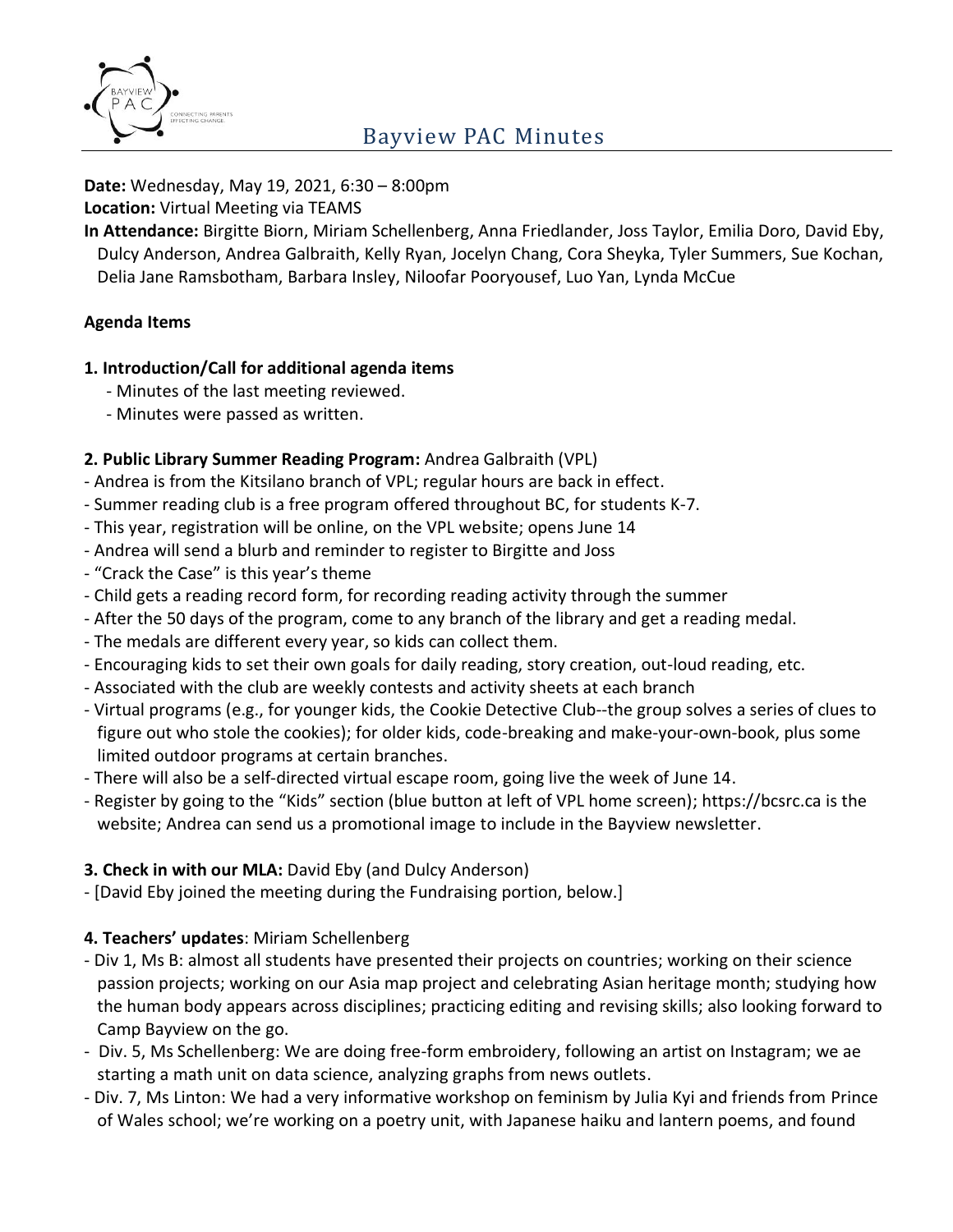

#### **Date:** Wednesday, May 19, 2021, 6:30 – 8:00pm

**Location:** Virtual Meeting via TEAMS

**In Attendance:** Birgitte Biorn, Miriam Schellenberg, Anna Friedlander, Joss Taylor, Emilia Doro, David Eby, Dulcy Anderson, Andrea Galbraith, Kelly Ryan, Jocelyn Chang, Cora Sheyka, Tyler Summers, Sue Kochan, Delia Jane Ramsbotham, Barbara Insley, Niloofar Pooryousef, Luo Yan, Lynda McCue

### **Agenda Items**

### **1. Introduction/Call for additional agenda items**

- Minutes of the last meeting reviewed.
- Minutes were passed as written.

### **2. Public Library Summer Reading Program:** Andrea Galbraith (VPL)

- Andrea is from the Kitsilano branch of VPL; regular hours are back in effect.
- Summer reading club is a free program offered throughout BC, for students K-7.
- This year, registration will be online, on the VPL website; opens June 14
- Andrea will send a blurb and reminder to register to Birgitte and Joss
- "Crack the Case" is this year's theme
- Child gets a reading record form, for recording reading activity through the summer
- After the 50 days of the program, come to any branch of the library and get a reading medal.
- The medals are different every year, so kids can collect them.
- Encouraging kids to set their own goals for daily reading, story creation, out-loud reading, etc.
- Associated with the club are weekly contests and activity sheets at each branch
- Virtual programs (e.g., for younger kids, the Cookie Detective Club--the group solves a series of clues to figure out who stole the cookies); for older kids, code-breaking and make-your-own-book, plus some limited outdoor programs at certain branches.
- There will also be a self-directed virtual escape room, going live the week of June 14.
- Register by going to the "Kids" section (blue button at left of VPL home screen); https://bcsrc.ca is the website; Andrea can send us a promotional image to include in the Bayview newsletter.

### **3. Check in with our MLA:** David Eby (and Dulcy Anderson)

- [David Eby joined the meeting during the Fundraising portion, below.]

## **4. Teachers' updates**: Miriam Schellenberg

- Div 1, Ms B: almost all students have presented their projects on countries; working on their science passion projects; working on our Asia map project and celebrating Asian heritage month; studying how the human body appears across disciplines; practicing editing and revising skills; also looking forward to Camp Bayview on the go.
- Div. 5, Ms Schellenberg: We are doing free-form embroidery, following an artist on Instagram; we ae starting a math unit on data science, analyzing graphs from news outlets.
- Div. 7, Ms Linton: We had a very informative workshop on feminism by Julia Kyi and friends from Prince of Wales school; we're working on a poetry unit, with Japanese haiku and lantern poems, and found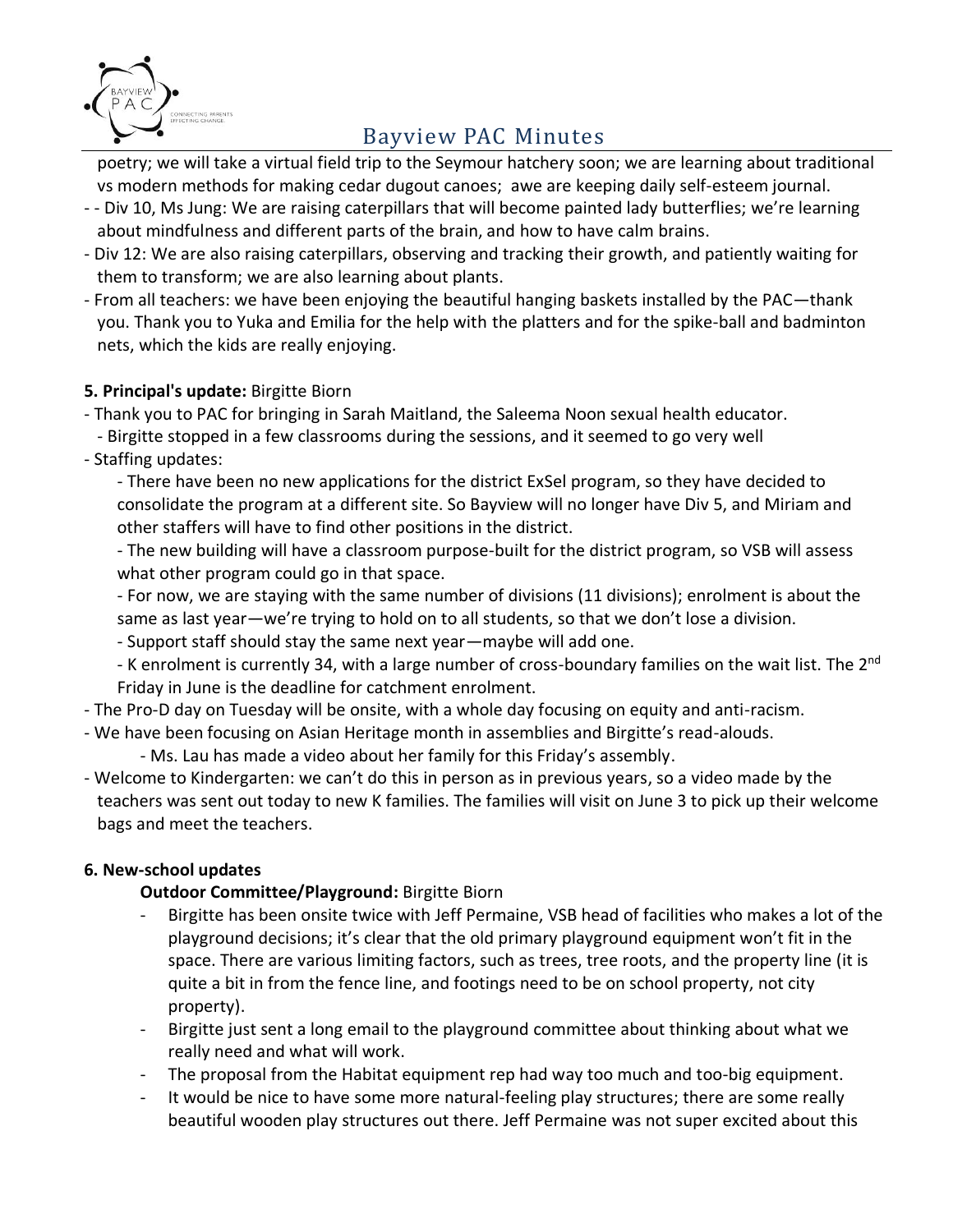

poetry; we will take a virtual field trip to the Seymour hatchery soon; we are learning about traditional vs modern methods for making cedar dugout canoes; awe are keeping daily self-esteem journal.

- - Div 10, Ms Jung: We are raising caterpillars that will become painted lady butterflies; we're learning about mindfulness and different parts of the brain, and how to have calm brains.
- Div 12: We are also raising caterpillars, observing and tracking their growth, and patiently waiting for them to transform; we are also learning about plants.
- From all teachers: we have been enjoying the beautiful hanging baskets installed by the PAC—thank you. Thank you to Yuka and Emilia for the help with the platters and for the spike-ball and badminton nets, which the kids are really enjoying.

## **5. Principal's update:** Birgitte Biorn

- Thank you to PAC for bringing in Sarah Maitland, the Saleema Noon sexual health educator.
- Birgitte stopped in a few classrooms during the sessions, and it seemed to go very well
- Staffing updates:

- There have been no new applications for the district ExSel program, so they have decided to consolidate the program at a different site. So Bayview will no longer have Div 5, and Miriam and other staffers will have to find other positions in the district.

- The new building will have a classroom purpose-built for the district program, so VSB will assess what other program could go in that space.

- For now, we are staying with the same number of divisions (11 divisions); enrolment is about the same as last year—we're trying to hold on to all students, so that we don't lose a division.

- Support staff should stay the same next year—maybe will add one.

- K enrolment is currently 34, with a large number of cross-boundary families on the wait list. The 2<sup>nd</sup> Friday in June is the deadline for catchment enrolment.

- The Pro-D day on Tuesday will be onsite, with a whole day focusing on equity and anti-racism.

- We have been focusing on Asian Heritage month in assemblies and Birgitte's read-alouds.
	- Ms. Lau has made a video about her family for this Friday's assembly.
- Welcome to Kindergarten: we can't do this in person as in previous years, so a video made by the teachers was sent out today to new K families. The families will visit on June 3 to pick up their welcome bags and meet the teachers.

## **6. New-school updates**

## **Outdoor Committee/Playground:** Birgitte Biorn

- Birgitte has been onsite twice with Jeff Permaine, VSB head of facilities who makes a lot of the playground decisions; it's clear that the old primary playground equipment won't fit in the space. There are various limiting factors, such as trees, tree roots, and the property line (it is quite a bit in from the fence line, and footings need to be on school property, not city property).
- Birgitte just sent a long email to the playground committee about thinking about what we really need and what will work.
- The proposal from the Habitat equipment rep had way too much and too-big equipment.
- It would be nice to have some more natural-feeling play structures; there are some really beautiful wooden play structures out there. Jeff Permaine was not super excited about this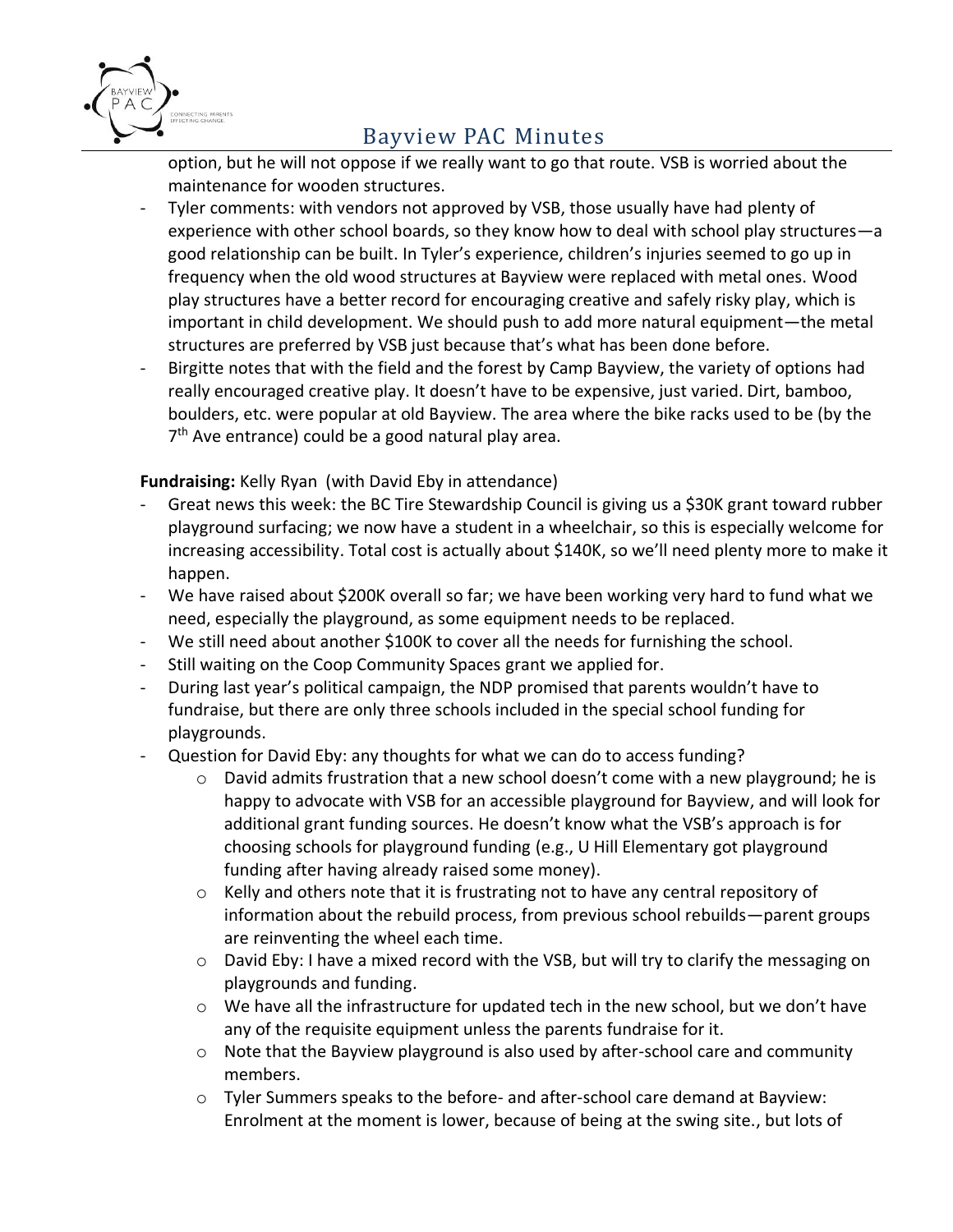

option, but he will not oppose if we really want to go that route. VSB is worried about the maintenance for wooden structures.

- Tyler comments: with vendors not approved by VSB, those usually have had plenty of experience with other school boards, so they know how to deal with school play structures—a good relationship can be built. In Tyler's experience, children's injuries seemed to go up in frequency when the old wood structures at Bayview were replaced with metal ones. Wood play structures have a better record for encouraging creative and safely risky play, which is important in child development. We should push to add more natural equipment—the metal structures are preferred by VSB just because that's what has been done before.
- Birgitte notes that with the field and the forest by Camp Bayview, the variety of options had really encouraged creative play. It doesn't have to be expensive, just varied. Dirt, bamboo, boulders, etc. were popular at old Bayview. The area where the bike racks used to be (by the 7<sup>th</sup> Ave entrance) could be a good natural play area.

**Fundraising:** Kelly Ryan (with David Eby in attendance)

- Great news this week: the BC Tire Stewardship Council is giving us a \$30K grant toward rubber playground surfacing; we now have a student in a wheelchair, so this is especially welcome for increasing accessibility. Total cost is actually about \$140K, so we'll need plenty more to make it happen.
- We have raised about \$200K overall so far; we have been working very hard to fund what we need, especially the playground, as some equipment needs to be replaced.
- We still need about another \$100K to cover all the needs for furnishing the school.
- Still waiting on the Coop Community Spaces grant we applied for.
- During last year's political campaign, the NDP promised that parents wouldn't have to fundraise, but there are only three schools included in the special school funding for playgrounds.
- Question for David Eby: any thoughts for what we can do to access funding?
	- o David admits frustration that a new school doesn't come with a new playground; he is happy to advocate with VSB for an accessible playground for Bayview, and will look for additional grant funding sources. He doesn't know what the VSB's approach is for choosing schools for playground funding (e.g., U Hill Elementary got playground funding after having already raised some money).
	- o Kelly and others note that it is frustrating not to have any central repository of information about the rebuild process, from previous school rebuilds—parent groups are reinventing the wheel each time.
	- o David Eby: I have a mixed record with the VSB, but will try to clarify the messaging on playgrounds and funding.
	- $\circ$  We have all the infrastructure for updated tech in the new school, but we don't have any of the requisite equipment unless the parents fundraise for it.
	- o Note that the Bayview playground is also used by after-school care and community members.
	- $\circ$  Tyler Summers speaks to the before- and after-school care demand at Bayview: Enrolment at the moment is lower, because of being at the swing site., but lots of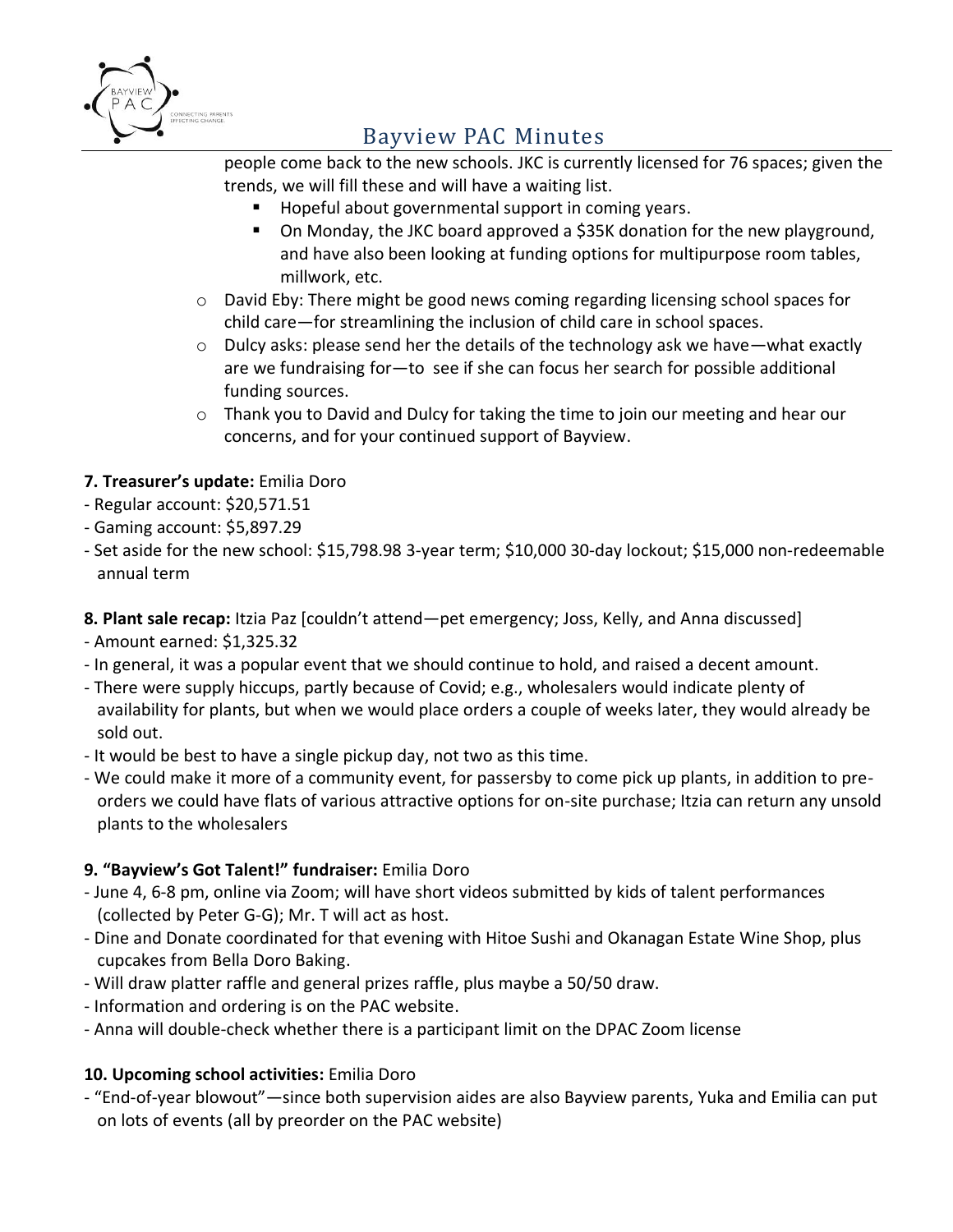

people come back to the new schools. JKC is currently licensed for 76 spaces; given the trends, we will fill these and will have a waiting list.

- Hopeful about governmental support in coming years.
- On Monday, the JKC board approved a \$35K donation for the new playground, and have also been looking at funding options for multipurpose room tables, millwork, etc.
- o David Eby: There might be good news coming regarding licensing school spaces for child care—for streamlining the inclusion of child care in school spaces.
- $\circ$  Dulcy asks: please send her the details of the technology ask we have—what exactly are we fundraising for—to see if she can focus her search for possible additional funding sources.
- $\circ$  Thank you to David and Dulcy for taking the time to join our meeting and hear our concerns, and for your continued support of Bayview.

## **7. Treasurer's update:** Emilia Doro

- Regular account: \$20,571.51
- Gaming account: \$5,897.29
- Set aside for the new school: \$15,798.98 3-year term; \$10,000 30-day lockout; \$15,000 non-redeemable annual term

## **8. Plant sale recap:** Itzia Paz [couldn't attend—pet emergency; Joss, Kelly, and Anna discussed]

- Amount earned: \$1,325.32
- In general, it was a popular event that we should continue to hold, and raised a decent amount.
- There were supply hiccups, partly because of Covid; e.g., wholesalers would indicate plenty of availability for plants, but when we would place orders a couple of weeks later, they would already be sold out.
- It would be best to have a single pickup day, not two as this time.
- We could make it more of a community event, for passersby to come pick up plants, in addition to preorders we could have flats of various attractive options for on-site purchase; Itzia can return any unsold plants to the wholesalers

## **9. "Bayview's Got Talent!" fundraiser:** Emilia Doro

- June 4, 6-8 pm, online via Zoom; will have short videos submitted by kids of talent performances (collected by Peter G-G); Mr. T will act as host.
- Dine and Donate coordinated for that evening with Hitoe Sushi and Okanagan Estate Wine Shop, plus cupcakes from Bella Doro Baking.
- Will draw platter raffle and general prizes raffle, plus maybe a 50/50 draw.
- Information and ordering is on the PAC website.
- Anna will double-check whether there is a participant limit on the DPAC Zoom license

## **10. Upcoming school activities:** Emilia Doro

- "End-of-year blowout"—since both supervision aides are also Bayview parents, Yuka and Emilia can put on lots of events (all by preorder on the PAC website)